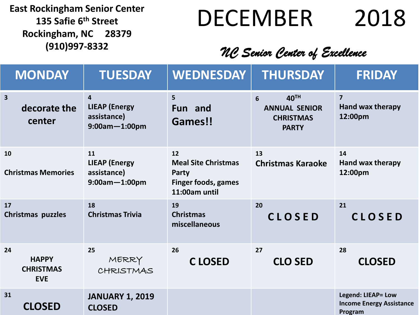**135 Safie 6 th Street Rockingham, NC 28379**

# East Rockingham Senior Center<br>135 Safie 6<sup>th</sup> Street<br>
DECEMBER<br>
2018

### **(910)997-8332** *NC Senior Center of Excellence*

| <b>MONDAY</b>                                        | <b>TUESDAY</b>                                                                         | <b>WEDNESDAY</b>                                                                         | <b>THURSDAY</b>                                                       | <b>FRIDAY</b>                                                    |
|------------------------------------------------------|----------------------------------------------------------------------------------------|------------------------------------------------------------------------------------------|-----------------------------------------------------------------------|------------------------------------------------------------------|
| $\overline{\mathbf{3}}$<br>decorate the<br>center    | $\overline{\mathbf{4}}$<br><b>LIEAP (Energy</b><br>assistance)<br>$9:00$ am $-1:00$ pm | 5<br>Fun and<br>Games!!                                                                  | 40TH<br>6<br><b>ANNUAL SENIOR</b><br><b>CHRISTMAS</b><br><b>PARTY</b> | $\overline{7}$<br><b>Hand wax therapy</b><br>12:00pm             |
| 10<br><b>Christmas Memories</b>                      | 11<br><b>LIEAP (Energy</b><br>assistance)<br>$9:00$ am $-1:00$ pm                      | 12<br><b>Meal Site Christmas</b><br>Party<br><b>Finger foods, games</b><br>11:00am until | 13<br><b>Christmas Karaoke</b>                                        | 14<br>Hand wax therapy<br>12:00pm                                |
| 17<br>Christmas puzzles                              | 18<br><b>Christmas Trivia</b>                                                          | 19<br><b>Christmas</b><br>miscellaneous                                                  | 20<br><b>CLOSED</b>                                                   | 21<br><b>CLOSED</b>                                              |
| 24<br><b>HAPPY</b><br><b>CHRISTMAS</b><br><b>EVE</b> | 25<br>MERRY<br>CHRISTMAS                                                               | 26<br><b>CLOSED</b>                                                                      | 27<br><b>CLO SED</b>                                                  | 28<br><b>CLOSED</b>                                              |
| 31<br><b>CLOSED</b>                                  | <b>JANUARY 1, 2019</b><br><b>CLOSED</b>                                                |                                                                                          |                                                                       | Legend: LIEAP= Low<br><b>Income Energy Assistance</b><br>Program |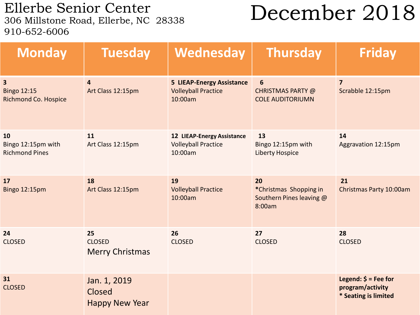Ellerbe Senior Center<br>306 Millstone Road, Ellerbe, NC 28338 910-652-6006

## December 2018

| <b>Monday</b>                                          | <b>Tuesday</b>                                  | Wednesday                                                                  | <b>Thursday</b>                                                    | <b>Friday</b>                                                                      |
|--------------------------------------------------------|-------------------------------------------------|----------------------------------------------------------------------------|--------------------------------------------------------------------|------------------------------------------------------------------------------------|
| 3<br><b>Bingo 12:15</b><br><b>Richmond Co. Hospice</b> | $\overline{4}$<br>Art Class 12:15pm             | <b>5 LIEAP-Energy Assistance</b><br><b>Volleyball Practice</b><br>10:00am  | $6\phantom{1}6$<br>CHRISTMAS PARTY @<br><b>COLE AUDITORIUMN</b>    | $\overline{7}$<br>Scrabble 12:15pm                                                 |
| 10<br>Bingo 12:15pm with<br><b>Richmond Pines</b>      | 11<br>Art Class 12:15pm                         | <b>12 LIEAP-Energy Assistance</b><br><b>Volleyball Practice</b><br>10:00am | 13<br>Bingo 12:15pm with<br><b>Liberty Hospice</b>                 | 14<br>Aggravation 12:15pm                                                          |
| 17<br><b>Bingo 12:15pm</b>                             | 18<br>Art Class 12:15pm                         | 19<br><b>Volleyball Practice</b><br>10:00am                                | 20<br>*Christmas Shopping in<br>Southern Pines leaving @<br>8:00am | 21<br>Christmas Party 10:00am                                                      |
| 24<br><b>CLOSED</b>                                    | 25<br><b>CLOSED</b><br><b>Merry Christmas</b>   | 26<br><b>CLOSED</b>                                                        | 27<br><b>CLOSED</b>                                                | 28<br><b>CLOSED</b>                                                                |
| 31<br><b>CLOSED</b>                                    | Jan. 1, 2019<br>Closed<br><b>Happy New Year</b> |                                                                            |                                                                    | Legend: $\acute{\mathsf{s}}$ = Fee for<br>program/activity<br>* Seating is limited |